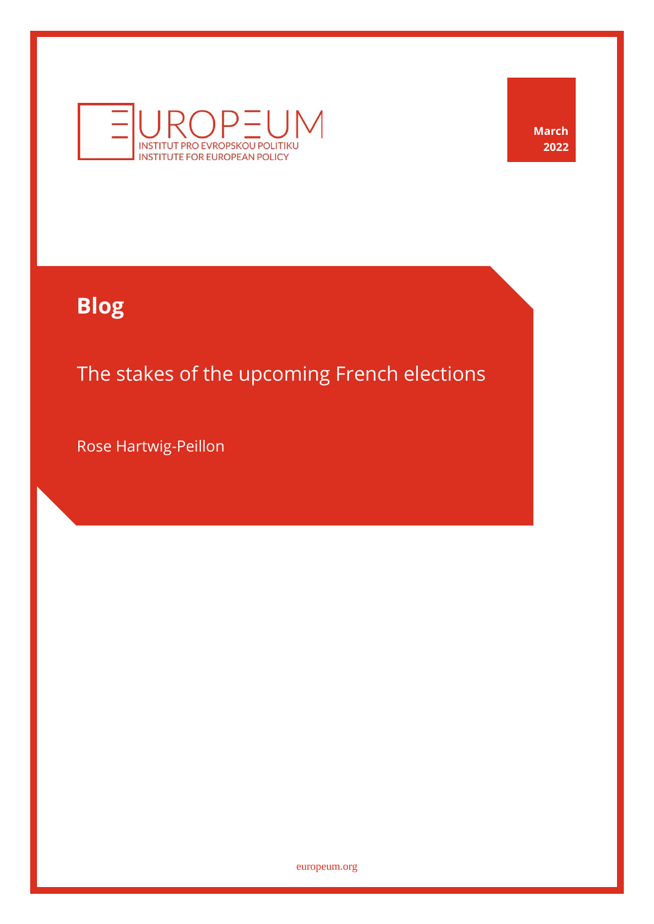

**March 2022**

# **Blog**

The stakes of the upcoming French elections

Rose Hartwig-Peillon

[europeum.org](https://europeum.org/)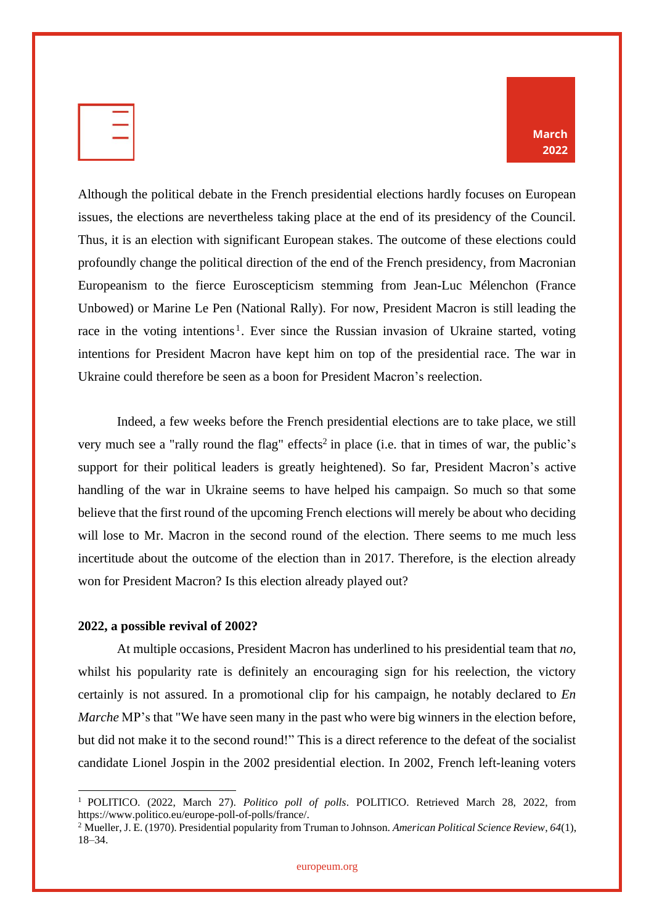|  |   | ÷ |
|--|---|---|
|  | ۰ |   |
|  |   |   |

Although the political debate in the French presidential elections hardly focuses on European issues, the elections are nevertheless taking place at the end of its presidency of the Council. Thus, it is an election with significant European stakes. The outcome of these elections could profoundly change the political direction of the end of the French presidency, from Macronian Europeanism to the fierce Euroscepticism stemming from Jean-Luc Mélenchon (France Unbowed) or Marine Le Pen (National Rally). For now, President Macron is still leading the race in the voting intentions<sup>1</sup>. Ever since the Russian invasion of Ukraine started, voting intentions for President Macron have kept him on top of the presidential race. The war in Ukraine could therefore be seen as a boon for President Macron's reelection.

Indeed, a few weeks before the French presidential elections are to take place, we still very much see a "rally round the flag" effects<sup>2</sup> in place (i.e. that in times of war, the public's support for their political leaders is greatly heightened). So far, President Macron's active handling of the war in Ukraine seems to have helped his campaign. So much so that some believe that the first round of the upcoming French elections will merely be about who deciding will lose to Mr. Macron in the second round of the election. There seems to me much less incertitude about the outcome of the election than in 2017. Therefore, is the election already won for President Macron? Is this election already played out?

#### **2022, a possible revival of 2002?**

At multiple occasions, President Macron has underlined to his presidential team that *no*, whilst his popularity rate is definitely an encouraging sign for his reelection, the victory certainly is not assured. In a promotional clip for his campaign, he notably declared to *En Marche* MP's that "We have seen many in the past who were big winners in the election before, but did not make it to the second round!" This is a direct reference to the defeat of the socialist candidate Lionel Jospin in the 2002 presidential election. In 2002, French left-leaning voters

<sup>1</sup> POLITICO. (2022, March 27). *Politico poll of polls*. POLITICO. Retrieved March 28, 2022, from https://www.politico.eu/europe-poll-of-polls/france/.

<sup>2</sup> Mueller, J. E. (1970). Presidential popularity from Truman to Johnson. *American Political Science Review*, *64*(1), 18–34.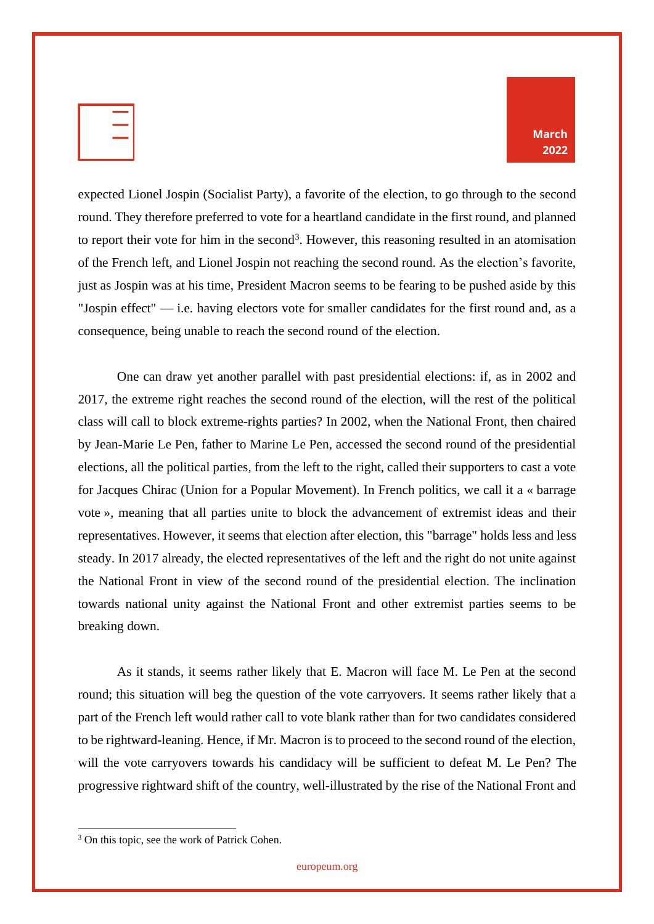| u.<br>____ |
|------------|
|            |
|            |

**March 2022**

expected Lionel Jospin (Socialist Party), a favorite of the election, to go through to the second round. They therefore preferred to vote for a heartland candidate in the first round, and planned to report their vote for him in the second<sup>3</sup>. However, this reasoning resulted in an atomisation of the French left, and Lionel Jospin not reaching the second round. As the election's favorite, just as Jospin was at his time, President Macron seems to be fearing to be pushed aside by this "Jospin effect" — i.e. having electors vote for smaller candidates for the first round and, as a consequence, being unable to reach the second round of the election.

One can draw yet another parallel with past presidential elections: if, as in 2002 and 2017, the extreme right reaches the second round of the election, will the rest of the political class will call to block extreme-rights parties? In 2002, when the National Front, then chaired by Jean-Marie Le Pen, father to Marine Le Pen, accessed the second round of the presidential elections, all the political parties, from the left to the right, called their supporters to cast a vote for Jacques Chirac (Union for a Popular Movement). In French politics, we call it a « barrage vote », meaning that all parties unite to block the advancement of extremist ideas and their representatives. However, it seems that election after election, this "barrage" holds less and less steady. In 2017 already, the elected representatives of the left and the right do not unite against the National Front in view of the second round of the presidential election. The inclination towards national unity against the National Front and other extremist parties seems to be breaking down.

As it stands, it seems rather likely that E. Macron will face M. Le Pen at the second round; this situation will beg the question of the vote carryovers. It seems rather likely that a part of the French left would rather call to vote blank rather than for two candidates considered to be rightward-leaning. Hence, if Mr. Macron is to proceed to the second round of the election, will the vote carryovers towards his candidacy will be sufficient to defeat M. Le Pen? The progressive rightward shift of the country, well-illustrated by the rise of the National Front and

<sup>&</sup>lt;sup>3</sup> On this topic, see the work of Patrick Cohen.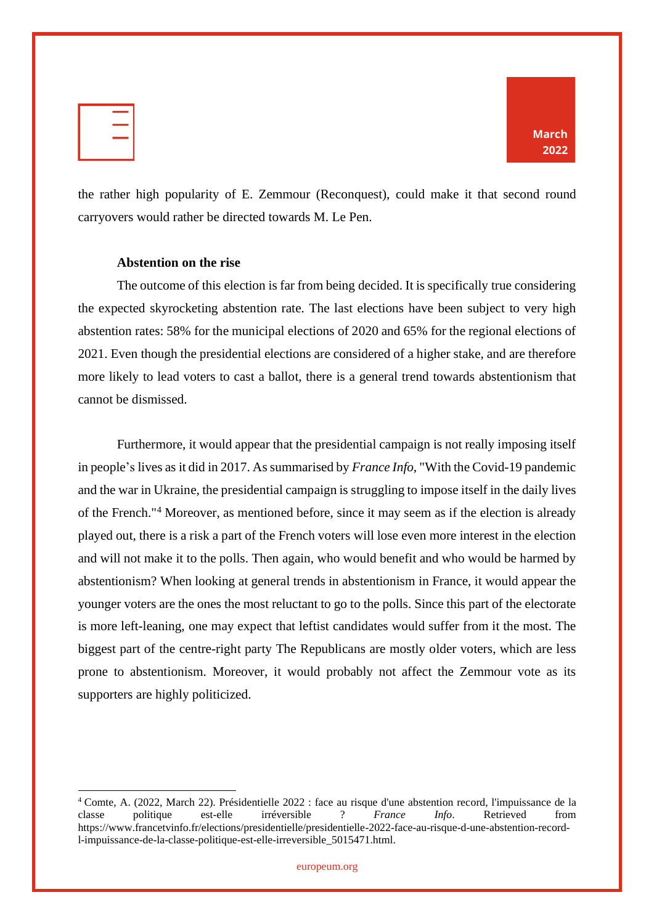|  | =         |
|--|-----------|
|  | s.<br>___ |
|  | z,        |
|  |           |



the rather high popularity of E. Zemmour (Reconquest), could make it that second round carryovers would rather be directed towards M. Le Pen.

#### **Abstention on the rise**

The outcome of this election is far from being decided. It is specifically true considering the expected skyrocketing abstention rate. The last elections have been subject to very high abstention rates: 58% for the municipal elections of 2020 and 65% for the regional elections of 2021. Even though the presidential elections are considered of a higher stake, and are therefore more likely to lead voters to cast a ballot, there is a general trend towards abstentionism that cannot be dismissed.

Furthermore, it would appear that the presidential campaign is not really imposing itself in people's lives as it did in 2017. Assummarised by *France Info*, "With the Covid-19 pandemic and the war in Ukraine, the presidential campaign is struggling to impose itself in the daily lives of the French."<sup>4</sup> Moreover, as mentioned before, since it may seem as if the election is already played out, there is a risk a part of the French voters will lose even more interest in the election and will not make it to the polls. Then again, who would benefit and who would be harmed by abstentionism? When looking at general trends in abstentionism in France, it would appear the younger voters are the ones the most reluctant to go to the polls. Since this part of the electorate is more left-leaning, one may expect that leftist candidates would suffer from it the most. The biggest part of the centre-right party The Republicans are mostly older voters, which are less prone to abstentionism. Moreover, it would probably not affect the Zemmour vote as its supporters are highly politicized.

<sup>4</sup> Comte, A. (2022, March 22). Présidentielle 2022 : face au risque d'une abstention record, l'impuissance de la classe politique est-elle irréversible ? *France Info*. Retrieved from https://www.francetvinfo.fr/elections/presidentielle/presidentielle-2022-face-au-risque-d-une-abstention-recordl-impuissance-de-la-classe-politique-est-elle-irreversible\_5015471.html.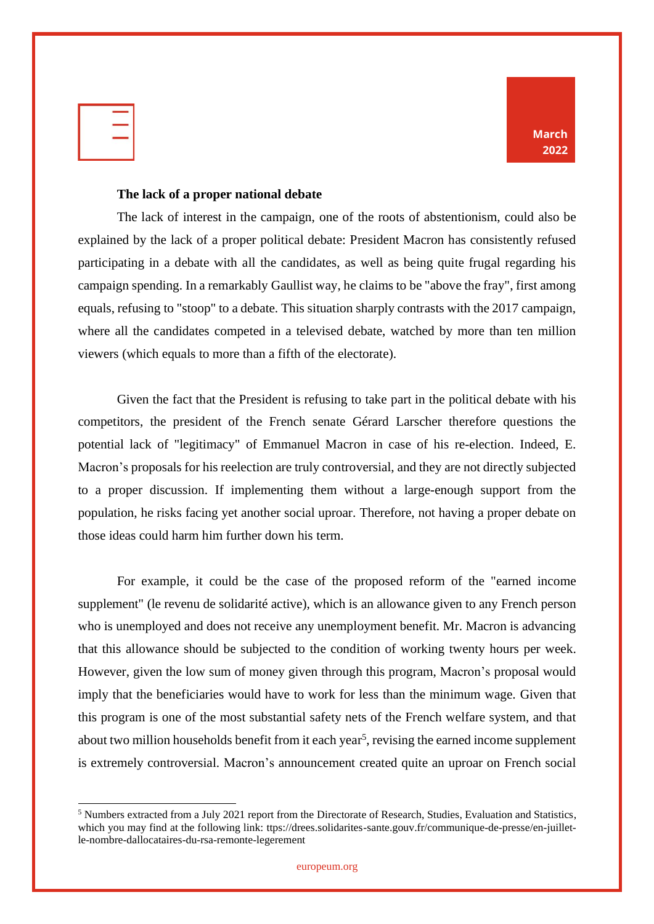| ____     |
|----------|
| v.<br>S. |

#### **The lack of a proper national debate**

The lack of interest in the campaign, one of the roots of abstentionism, could also be explained by the lack of a proper political debate: President Macron has consistently refused participating in a debate with all the candidates, as well as being quite frugal regarding his campaign spending. In a remarkably Gaullist way, he claims to be "above the fray", first among equals, refusing to "stoop" to a debate. This situation sharply contrasts with the 2017 campaign, where all the candidates competed in a televised debate, watched by more than ten million viewers (which equals to more than a fifth of the electorate).

Given the fact that the President is refusing to take part in the political debate with his competitors, the president of the French senate Gérard Larscher therefore questions the potential lack of "legitimacy" of Emmanuel Macron in case of his re-election. Indeed, E. Macron's proposals for his reelection are truly controversial, and they are not directly subjected to a proper discussion. If implementing them without a large-enough support from the population, he risks facing yet another social uproar. Therefore, not having a proper debate on those ideas could harm him further down his term.

For example, it could be the case of the proposed reform of the "earned income supplement" (le revenu de solidarité active), which is an allowance given to any French person who is unemployed and does not receive any unemployment benefit. Mr. Macron is advancing that this allowance should be subjected to the condition of working twenty hours per week. However, given the low sum of money given through this program, Macron's proposal would imply that the beneficiaries would have to work for less than the minimum wage. Given that this program is one of the most substantial safety nets of the French welfare system, and that about two million households benefit from it each year<sup>5</sup>, revising the earned income supplement is extremely controversial. Macron's announcement created quite an uproar on French social

<sup>5</sup> Numbers extracted from a July 2021 report from the Directorate of Research, Studies, Evaluation and Statistics, which you may find at the following link: ttps://drees.solidarites-sante.gouv.fr/communique-de-presse/en-juilletle-nombre-dallocataires-du-rsa-remonte-legerement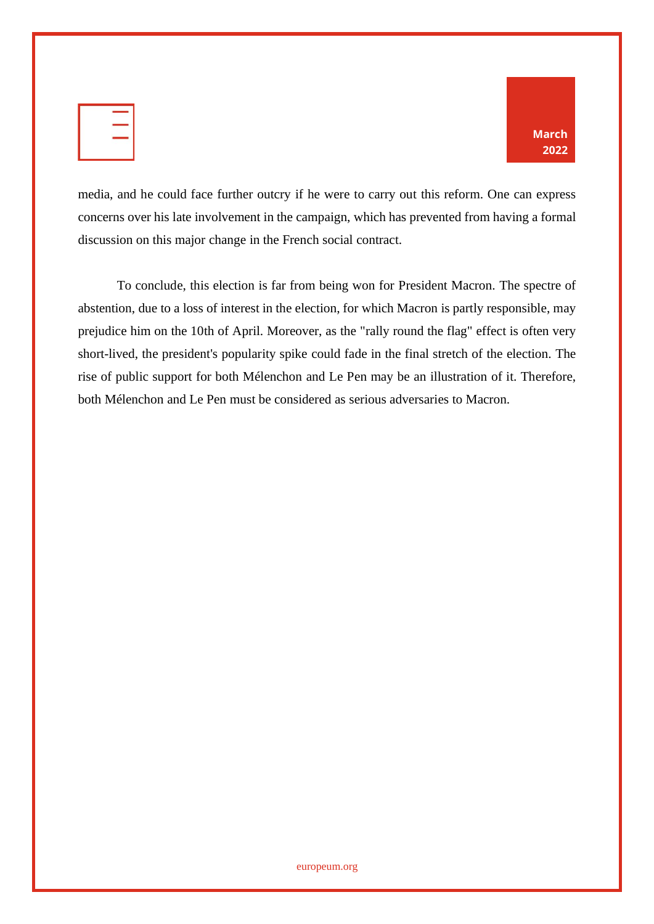| $\overline{\phantom{a}}$<br>X.<br>_ |  | = |  |
|-------------------------------------|--|---|--|
|                                     |  |   |  |
|                                     |  |   |  |



media, and he could face further outcry if he were to carry out this reform. One can express concerns over his late involvement in the campaign, which has prevented from having a formal discussion on this major change in the French social contract.

To conclude, this election is far from being won for President Macron. The spectre of abstention, due to a loss of interest in the election, for which Macron is partly responsible, may prejudice him on the 10th of April. Moreover, as the "rally round the flag" effect is often very short-lived, the president's popularity spike could fade in the final stretch of the election. The rise of public support for both Mélenchon and Le Pen may be an illustration of it. Therefore, both Mélenchon and Le Pen must be considered as serious adversaries to Macron.